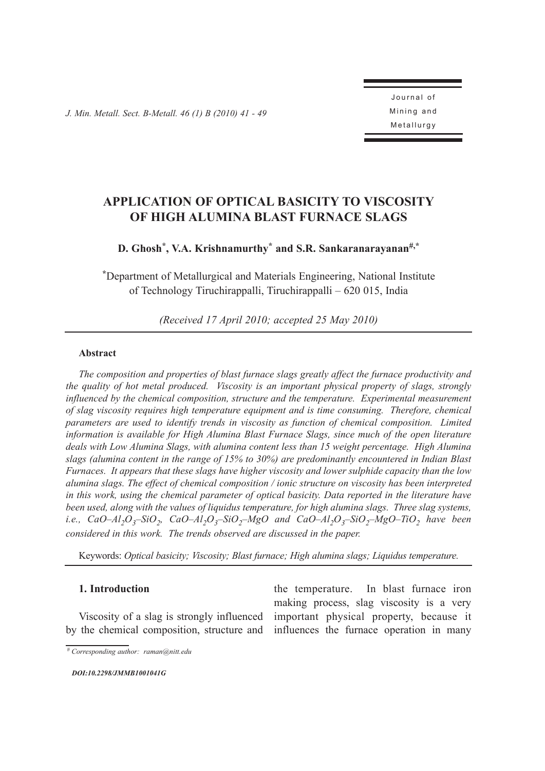*J. Min. Metall. Sect. B-Metall. 46 (1) B (2010) 41 - 49* 

Journal of Mining and Metallurgy

# **APPLICATION OF OPTICAL BASICITY TO VISCOSITY OF HIGH ALUMINA BLAST FURNACE SLAGS**

# **D. Ghosh\*, V.A. Krishnamurthy\* and S.R. Sankaranarayanan#,\***

**\***Department of Metallurgical and Materials Engineering, National Institute of Technology Tiruchirappalli, Tiruchirappalli – 620 015, India

*(Received 17 April 2010; accepted 25 May 2010)*

### **Abstract**

*The composition and properties of blast furnace slags greatly affect the furnace productivity and the quality of hot metal produced. Viscosity is an important physical property of slags, strongly influenced by the chemical composition, structure and the temperature. Experimental measurement of slag viscosity requires high temperature equipment and is time consuming. Therefore, chemical parameters are used to identify trends in viscosity as function of chemical composition. Limited information is available for High Alumina Blast Furnace Slags, since much of the open literature deals with Low Alumina Slags, with alumina content less than 15 weight percentage. High Alumina slags (alumina content in the range of 15% to 30%) are predominantly encountered in Indian Blast Furnaces. It appears that these slags have higher viscosity and lower sulphide capacity than the low alumina slags. The effect of chemical composition / ionic structure on viscosity has been interpreted in this work, using the chemical parameter of optical basicity. Data reported in the literature have been used, along with the values of liquidus temperature, for high alumina slags. Three slag systems, i.e.,*  $CaO-Al<sub>2</sub>O<sub>3</sub>$ –SiO<sub>2</sub>,  $CaO-Al<sub>2</sub>O<sub>3</sub>$ – $SiO<sub>2</sub>$ – $MgO-Al<sub>2</sub>O<sub>3</sub>$ – $SiO<sub>2</sub>$ – $MgO-TiO<sub>2</sub>$  *have been considered in this work. The trends observed are discussed in the paper.*

Keywords: *Optical basicity; Viscosity; Blast furnace; High alumina slags; Liquidus temperature.*

## **1. Introduction**

Viscosity of a slag is strongly influenced by the chemical composition, structure and

the temperature. In blast furnace iron making process, slag viscosity is a very important physical property, because it influences the furnace operation in many

*DOI:[10.2298/JMMB1001041G](http://dx.doi.org/10.2298/JMMB1001041G)*

*<sup>#</sup> Corresponding author: raman@nitt.edu*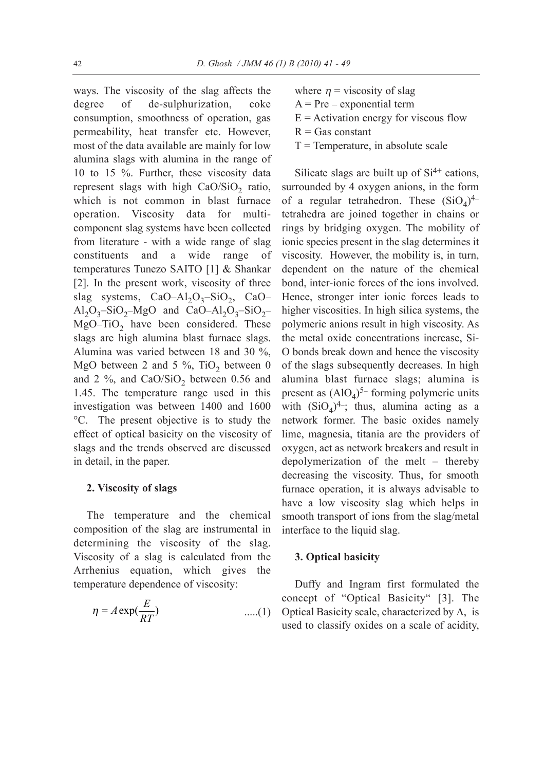ways. The viscosity of the slag affects the degree of de-sulphurization, coke consumption, smoothness of operation, gas permeability, heat transfer etc. However, most of the data available are mainly for low alumina slags with alumina in the range of 10 to 15 %. Further, these viscosity data represent slags with high  $CaO/SiO<sub>2</sub>$  ratio, which is not common in blast furnace operation. Viscosity data for multicomponent slag systems have been collected from literature - with a wide range of slag constituents and a wide range of temperatures Tunezo SAITO [\[1\]](#page-8-2) & Shankar [\[2\]](#page-8-1). In the present work, viscosity of three slag systems, CaO–Al<sub>2</sub>O<sub>3</sub>–SiO<sub>2</sub>, CaO– Al<sub>2</sub>O<sub>3</sub>–SiO<sub>2</sub>–MgO and CaO–Al<sub>2</sub>O<sub>3</sub>–SiO<sub>2</sub>– MgO–TiO<sub>2</sub> have been considered. These slags are high alumina blast furnace slags. Alumina was varied between 18 and 30 %, MgO between 2 and 5 %, TiO<sub>2</sub> between 0 and  $2\%$ , and CaO/SiO<sub>2</sub> between 0.56 and 1.45. The temperature range used in this investigation was between 1400 and 1600 °C. The present objective is to study the effect of optical basicity on the viscosity of slags and the trends observed are discussed in detail, in the paper.

### **2. Viscosity of slags**

The temperature and the chemical composition of the slag are instrumental in determining the viscosity of the slag. Viscosity of a slag is calculated from the Arrhenius equation, which gives the temperature dependence of viscosity: be the space of the space of the space of the space of  $\frac{E}{RT}$ )

$$
\eta = A \exp(\frac{E}{RT}) \qquad \qquad \dots (1)
$$

- where  $\eta$  = viscosity of slag
- A = Pre *–* exponential term
- $E =$  Activation energy for viscous flow
- $R = Gas constant$
- $T =$ Temperature, in absolute scale

Silicate slags are built up of  $Si<sup>4+</sup>$  cations, surrounded by 4 oxygen anions, in the form of a regular tetrahedron. These  $(SiO<sub>A</sub>)<sup>4</sup>$ tetrahedra are joined together in chains or rings by bridging oxygen. The mobility of ionic species present in the slag determines it viscosity. However, the mobility is, in turn, dependent on the nature of the chemical bond, interionic forces of the ions involved. Hence, stronger inter ionic forces leads to higher viscosities. In high silica systems, the polymeric anions result in high viscosity. As the metal oxide concentrations increase, Si-O bonds break down and hence the viscosity of the slags subsequently decreases. In high alumina blast furnace slags; alumina is present as  $(AIO<sub>4</sub>)<sup>5–</sup>$  forming polymeric units with  $(SiO<sub>4</sub>)<sup>4</sup>$ ; thus, alumina acting as a network former. The basic oxides namely lime, magnesia, titania are the providers of oxygen, act as network breakers and result in depolymerization of the melt – thereby decreasing the viscosity. Thus, for smooth furnace operation, it is always advisable to have a low viscosity slag which helps in smooth transport of ions from the slag/metal interface to the liquid slag.

#### **3. Optical basicity**

Duffy and Ingram first formulated the concept of "Optical Basicity" [\[3\]](#page-8-0). The Optical Basicity scale, characterized by  $\Lambda$ , is used to classify oxides on a scale of acidity,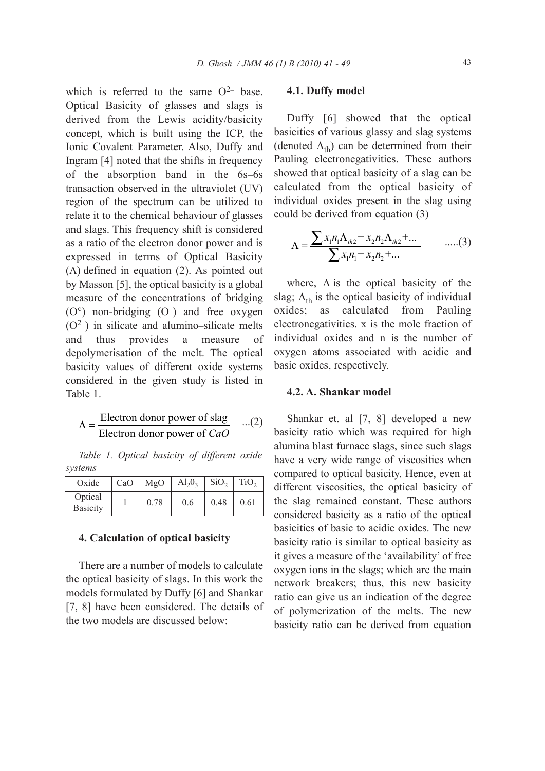which is referred to the same  $O^{2-}$  base. Optical Basicity of glasses and slags is derived from the Lewis acidity/basicity concept, which is built using the ICP, the Ionic Covalent Parameter. Also, Duffy and Ingram [\[4\]](#page-8-7) noted that the shifts in frequency of the absorption band in the 6s*–*6s transaction observed in the ultraviolet (UV) region of the spectrum can be utilized to relate it to the chemical behaviour of glasses and slags. This frequency shift is considered as a ratio of the electron donor power and is expressed in terms of Optical Basicity  $(\Lambda)$  defined in equation (2). As pointed out by Masson [\[5\]](#page-8-6), the optical basicity is a global measure of the concentrations of bridging (O<sup>o</sup>) non-bridging (O<sup>-</sup>) and free oxygen (O2*–*) in silicate and alumino*–*silicate melts and thus provides a measure of depolymerisation of the melt. The optical basicity values of different oxide systems considered in the given study is listed in [Table 1.](#page-2-0)

$$
\Lambda = \frac{\text{Electron donor power of slag}}{\text{Electron donor power of } CaO} \quad ...(2)
$$

*Table 1. Optical basicity of different oxide systems*

| Oxide                      | CaO | MgO  | $Al_2O_3$ | SiO <sub>2</sub> | TiO <sub>2</sub> |
|----------------------------|-----|------|-----------|------------------|------------------|
| Optical<br><b>Basicity</b> |     | 0.78 | 0.6       | 0.48             | 0.61             |

## **4. Calculation of optical basicity**

There are a number of models to calculate the optical basicity of slags. In this work the models formulated by Duffy [\[6\]](#page-8-5) and Shankar [\[7,](#page-8-4) [8\]](#page-8-3) have been considered. The details of the two models are discussed below:

#### **4.1. Duffy model**

Duffy [\[6\]](#page-8-5) showed that the optical basicities of various glassy and slag systems (denoted  $\Lambda_{\text{th}}$ ) can be determined from their Pauling electronegativities. These authors showed that optical basicity of a slag can be calculated from the optical basicity of individual oxides present in the slag using could be derived from equation (3)  $f(x)$  and we determined the deterministic product of the same oxides presenting  $x_1 n_1 \Lambda_{th2} + x_2 n_1 \Sigma_{th1} + x_2 n_2$ ran be de<br>
bonegativi<br>
tical basi<br>
m the<br>
les prese<br>
d from e<br>  $\frac{\Lambda_{h2} + x_2 n}{x_1 n_1 + x_2 n}$ <br>
the opt ous glassy<br>*n* be detern<br>regativities<br>cal basicity<br>and the optical present if<br>from equal<br> $\frac{t^{h_2} + x_2 n_2 \Lambda_{th}}{n_1 + x_2 n_2 + ...}$ buttly [b] showed<br>
litties of various glassy<br>
noted  $\Lambda_{th}$ ) can be determent<br>
ling electronegativitie<br>
wed that optical basicit<br>
wed that optical basicit<br>
wed that optical basicit<br>
wed from the op<br>
vidual oxides present<br> various glassy a<br>
<sup>1</sup>) can be determ<br>
ctronegativities.<br>
optical basicity<br>
from the optic<br>
xides present in<br>
ived from equati<br>  $\frac{1}{1}n_1\Lambda_{th2} + x_2n_2\Lambda_{th2}$ <br>  $\sum x_1n_1 + x_2n_2 + ...$ an be de<br>negativit<br>ical basic<br>in the c<br>s preser<br> $\ln \frac{1}{2} + x_2 n_2$ <br>the opti

$$
\Lambda = \frac{\sum x_1 n_1 \Lambda_{th2} + x_2 n_2 \Lambda_{th2} + \dots}{\sum x_1 n_1 + x_2 n_2 + \dots} \qquad \dots (3)
$$

where,  $\Lambda$  is the optical basicity of the slag;  $\Lambda_{th}$  is the optical basicity of individual oxides; as calculated from Pauling electronegativities. x is the mole fraction of individual oxides and n is the number of oxygen atoms associated with acidic and basic oxides, respectively. *X*

## <span id="page-2-0"></span>**4.2. A. Shankar model**

Shankar et. al [\[7,](#page-8-4) [8\]](#page-8-3) developed a new basicity ratio which was required for high alumina blast furnace slags, since such slags have a very wide range of viscosities when compared to optical basicity. Hence, even at different viscosities, the optical basicity of the slag remained constant. These authors considered basicity as a ratio of the optical basicities of basic to acidic oxides. The new basicity ratio is similar to optical basicity as it gives a measure of the 'availability' of free oxygen ions in the slags; which are the main network breakers; thus, this new basicity ratio can give us an indication of the degree of polymerization of the melts. The new basicity ratio can be derived from equation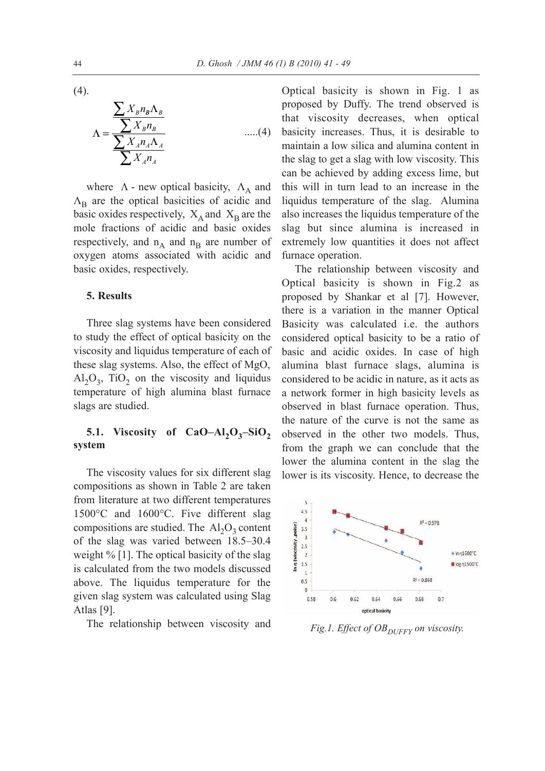(4).

D. Ghosh / JMM 46  
\n
$$
\Lambda = \frac{\sum X_B n_B \Lambda_B}{\sum X_A n_A \Lambda_A}
$$
\nwhere  $\Lambda$ - new optical basicity  $\Lambda$ , and

*t*

where  $\Lambda$  - new optical basicity,  $\Lambda_A$  and  $\Lambda_{\rm B}$  are the optical basicities of acidic and basic oxides respectively,  $X_A$  and  $X_B$  are the mole fractions of acidic and basic oxides respectively, and  $n_A$  and  $n_B$  are number of oxygen atoms associated with acidic and basic oxides, respectively.

## **5. Results**

Three slag systems have been considered to study the effect of optical basicity on the viscosity and liquidus temperature of each of these slag systems. Also, the effect of MgO,  $Al_2O_3$ , TiO<sub>2</sub> on the viscosity and liquidus temperature of high alumina blast furnace slags are studied.

## **5.1. Viscosity of CaO–Al<sub>2</sub>O<sub>3</sub>–SiO<sub>2</sub> system**

The viscosity values for six different slag compositions as shown in [Table 2](#page-4-1) are taken from literature at two different temperatures 1500°C and 1600°C. Five different slag compositions are studied. The  $Al_2O_3$  content of the slag was varied between 18.5–30.4 weight % [\[1\]](#page-8-2). The optical basicity of the slag is calculated from the two models discussed above. The liquidus temperature for the given slag system was calculated using Slag Atlas [\[9\]](#page-8-8).

The relationship between viscosity and

Optical basicity is shown in [Fig. 1](#page-3-0) as proposed by Duffy. The trend observed is that viscosity decreases, when optical basicity increases. Thus, it is desirable to maintain a low silica and alumina content in the slag to get a slag with low viscosity. This can be achieved by adding excess lime, but this will in turn lead to an increase in the liquidus temperature of the slag. Alumina also increases the liquidus temperature of the slag but since alumina is increased in extremely low quantities it does not affect furnace operation.

The relationship between viscosity and Optical basicity is shown in [Fig.2](#page-4-0) as proposed by Shankar et al [\[7\]](#page-8-4). However, there is a variation in the manner Optical Basicity was calculated i.e. the authors considered optical basicity to be a ratio of basic and acidic oxides. In case of high alumina blast furnace slags, alumina is considered to be acidic in nature, as it acts as a network former in high basicity levels as observed in blast furnace operation. Thus, the nature of the curve is not the same as observed in the other two models. Thus, from the graph we can conclude that the lower the alumina content in the slag the lower is its viscosity. Hence, to decrease the



<span id="page-3-0"></span>*Fig.1. Effect of OB*<sub>DUFFY</sub> *on viscosity.*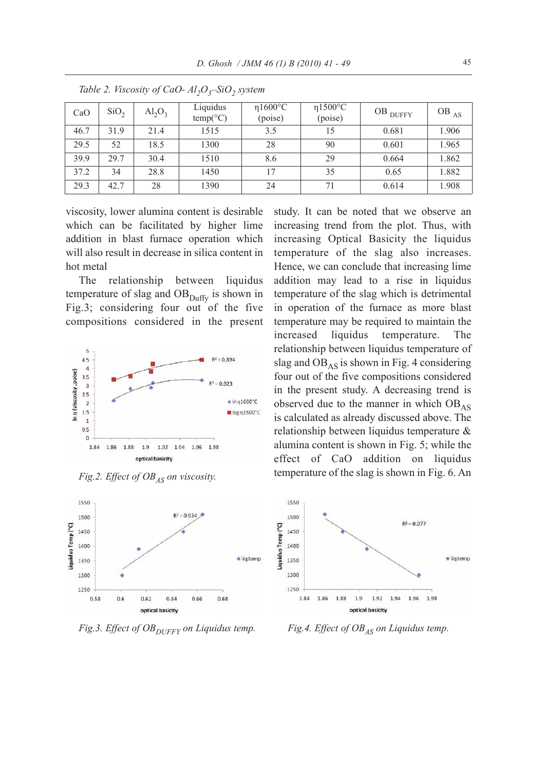| CaO  | SiO <sub>2</sub> | $\text{Al}_2\text{O}_3$ | Liquidus<br>$temp(^{\circ}C)$ | $\eta$ 1600 $\degree$ C<br>(poise) | $\eta$ 1500°C<br>(poise) | OB $_{\text{DUFFY}}$ | $OB$ <sub>AS</sub> |
|------|------------------|-------------------------|-------------------------------|------------------------------------|--------------------------|----------------------|--------------------|
| 46.7 | 31.9             | 21.4                    | 1515                          | 3.5                                | 15                       | 0.681                | 1.906              |
| 29.5 | 52               | 18.5                    | 1300                          | 28                                 | 90                       | 0.601                | 1.965              |
| 39.9 | 29.7             | 30.4                    | 1510                          | 8.6                                | 29                       | 0.664                | 1.862              |
| 37.2 | 34               | 28.8                    | 1450                          | 17                                 | 35                       | 0.65                 | 1.882              |
| 29.3 | 42.7             | 28                      | 1390                          | 24                                 | 71                       | 0.614                | 1.908              |

*Table 2. Viscosity of CaO- Al<sub>2</sub>O<sub>3</sub>–SiO<sub>2</sub> system* 

viscosity, lower alumina content is desirable which can be facilitated by higher lime addition in blast furnace operation which will also result in decrease in silica content in hot metal

The relationship between liquidus temperature of slag and  $\rm{OB}_{\rm{Duffy}}$  is shown in [Fig.3;](#page-4-3) considering four out of the five compositions considered in the present



*Fig.2. Effect of OB<sub>AS</sub> on viscosity.* 



*Fig.3. Effect of OB*<sub>DUFFY</sub> on Liquidus temp. *Fig.4. Effect of OB<sub>AS</sub>* on Liquidus temp.

<span id="page-4-1"></span><span id="page-4-0"></span>study. It can be noted that we observe an increasing trend from the plot. Thus, with increasing Optical Basicity the liquidus temperature of the slag also increases. Hence, we can conclude that increasing lime addition may lead to a rise in liquidus temperature of the slag which is detrimental in operation of the furnace as more blast temperature may be required to maintain the increased liquidus temperature**.** The relationship between liquidus temperature of slag and  $OB<sub>AS</sub>$  is shown in [Fig. 4 c](#page-4-2)onsidering four out of the five compositions considered in the present study. A decreasing trend is observed due to the manner in which  $OB_{AS}$ is calculated as already discussed above. The relationship between liquidus temperature & alumina content is shown in [Fig. 5;](#page-5-1) while the effect of CaO addition on liquidus temperature of the slag is shown in [Fig. 6.](#page-5-0) An



<span id="page-4-3"></span><span id="page-4-2"></span>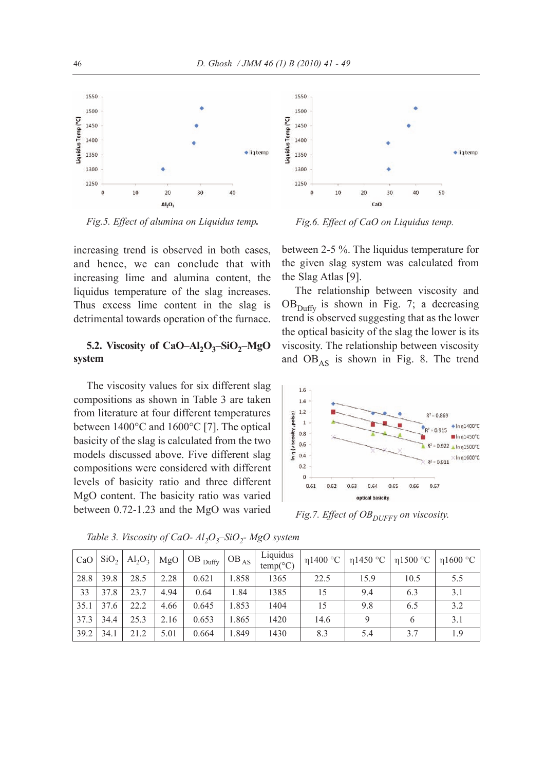1550

1500

1450

1400

1350

1300

1250

 $\mathbf 0$ 

10

iquidus Temp (°C)



*Fig.5. Effect of alumina on Liquidus temp.*

increasing trend is observed in both cases, and hence, we can conclude that with increasing lime and alumina content, the liquidus temperature of the slag increases. Thus excess lime content in the slag is detrimental towards operation of the furnace.

# **5.2. Viscosity of CaO–Al<sub>2</sub>O<sub>3</sub>–SiO<sub>2</sub>–MgO system**

The viscosity values for six different slag compositions as shown in [Table 3](#page-5-3) are taken from literature at four different temperatures between 1400°C and 1600°C [\[7\]](#page-8-4). The optical basicity of the slag is calculated from the two models discussed above. Five different slag compositions were considered with different levels of basicity ratio and three different MgO content. The basicity ratio was varied between 0.721.23 and the MgO was varied

*Fig.6. Effect of CaO on Liquidus temp.*

 $CaO$ 

30

40

<span id="page-5-2"></span>50

 $20$ 

<span id="page-5-1"></span><span id="page-5-0"></span> $\bullet$  lig temp

between 25 %. The liquidus temperature for the given slag system was calculated from the Slag Atlas [\[9\]](#page-8-8).

The relationship between viscosity and  $OB<sub>Diffy</sub>$  is shown in [Fig. 7;](#page-5-2) a decreasing trend is observed suggesting that as the lower the optical basicity of the slag the lower is its viscosity. The relationship between viscosity and  $OB_{AS}$  is shown in [Fig. 8.](#page-6-0) The trend



<span id="page-5-3"></span>*Fig.7. Effect of OB*<sub>DUFFY</sub> on viscosity.

| CaO  | SiO <sub>2</sub> | $\mathrm{Al}_2\mathrm{O}_3$ |      | $MgO$ OB $_{Duffy}$ | $\overline{\text{OB}}_{\text{AS} + \lambda}$ | Liquidus<br>$temp(^{\circ}C)$ | $\eta$ 1400 °C | $\eta$ 1450 °C |      | η1500 °C   η1600 °C |
|------|------------------|-----------------------------|------|---------------------|----------------------------------------------|-------------------------------|----------------|----------------|------|---------------------|
| 28.8 | 39.8             | 28.5                        | 2.28 | 0.621               | 1.858                                        | 1365                          | 22.5           | 15.9           | 10.5 | 5.5                 |
| 33   | 37.8             | 23.7                        | 4.94 | 0.64                | 1.84                                         | 1385                          | 15             | 9.4            | 6.3  | 3.1                 |
| 35.1 | 37.6             | 22.2                        | 4.66 | 0.645               | 1.853                                        | 1404                          | 15             | 9.8            | 6.5  | 3.2                 |
| 37.3 | 34.4             | 25.3                        | 2.16 | 0.653               | 1.865                                        | 1420                          | 14.6           | 9              | 6    | 3.1                 |
| 39.2 | 34.1             | 21.2                        | 5.01 | 0.664               | 1.849                                        | 1430                          | 8.3            | 5.4            | 3.7  | 1.9                 |

*Table 3. Viscosity of CaO- Al<sub>2</sub>O<sub>3</sub>–SiO<sub>2</sub>- MgO system*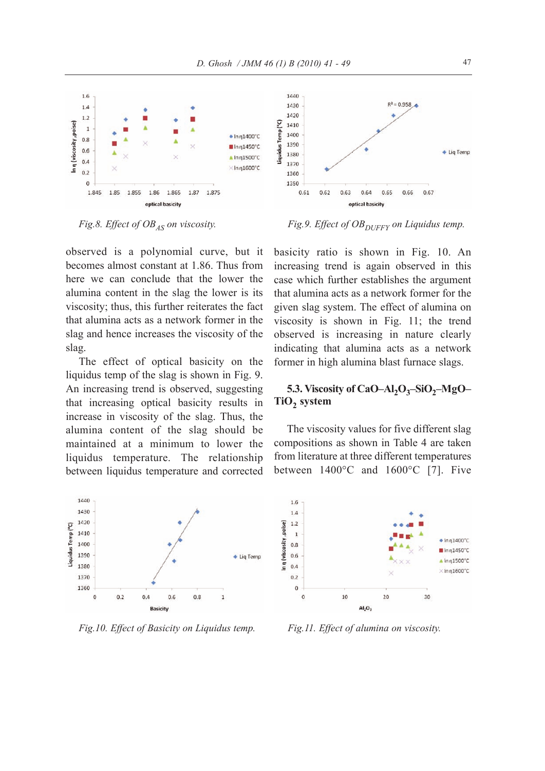

observed is a polynomial curve, but it becomes almost constant at 1.86. Thus from here we can conclude that the lower the alumina content in the slag the lower is its viscosity; thus, this further reiterates the fact that alumina acts as a network former in the slag and hence increases the viscosity of the slag.

The effect of optical basicity on the liquidus temp of the slag is shown in [Fig. 9.](#page-6-3) An increasing trend is observed, suggesting that increasing optical basicity results in increase in viscosity of the slag. Thus, the alumina content of the slag should be maintained at a minimum to lower the liquidus temperature. The relationship between liquidus temperature and corrected



*Fig.10. Effect of Basicity on Liquidus temp. Fig.11. Effect of alumina on viscosity.*

<span id="page-6-3"></span><span id="page-6-0"></span>

*Fig.8. Effect of OB<sub>AS</sub> on viscosity. Fig.9. Effect of OB<sub>DUFFY</sub> on Liquidus temp.* 

basicity ratio is shown in [Fig. 10.](#page-6-2) An increasing trend is again observed in this case which further establishes the argument that alumina acts as a network former for the given slag system. The effect of alumina on viscosity is shown in [Fig. 11;](#page-6-1) the trend observed is increasing in nature clearly indicating that alumina acts as a network former in high alumina blast furnace slags.

# **5.3. Viscosity of CaO–Al<sub>2</sub>O<sub>3</sub>–SiO<sub>2</sub>–MgO–** TiO<sub>2</sub> system

The viscosity values for five different slag compositions as shown in [Table 4](#page-7-0) are taken from literature at three different temperatures between 1400°C and 1600°C [\[7\]](#page-8-4). Five



<span id="page-6-2"></span><span id="page-6-1"></span>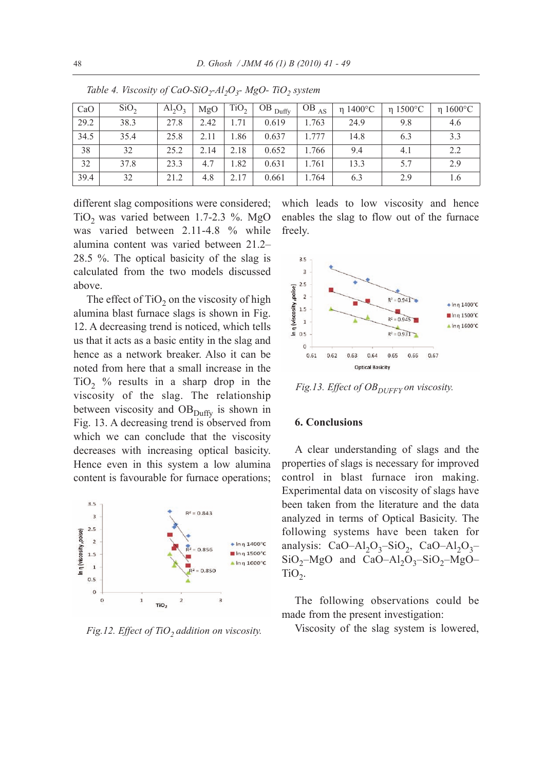| CaO  | SiO <sub>2</sub> | $Al_2O_3$ | MgO  | TiO <sub>2</sub> | $OB$ Duffy | $OB$ <sub>AS</sub> | $\eta$ 1400°C | $\eta$ 1500°C | $\eta$ 1600°C |
|------|------------------|-----------|------|------------------|------------|--------------------|---------------|---------------|---------------|
| 29.2 | 38.3             | 27.8      | 2.42 | -71              | 0.619      | 1.763              | 24.9          | 9.8           | 4.6           |
| 34.5 | 35.4             | 25.8      | 2.11 | .86              | 0.637      | 1.777              | 14.8          | 6.3           | 3.3           |
| 38   | 32               | 25.2      | 2.14 | 2.18             | 0.652      | 1.766              | 9.4           | 4.1           | 2.2           |
| 32   | 37.8             | 23.3      | 4.7  | . 82             | 0.631      | 1.761              | 13.3          | 5.7           | 2.9           |
| 39.4 | 32               | 21.2      | 4.8  | 2.17             | 0.661      | 1.764              | 6.3           | 2.9           | 1.6           |

*Table 4. Viscosity of CaO-SiO<sub>2</sub>-Al<sub>2</sub>O<sub>3</sub>- MgO- TiO<sub>2</sub> system* 

different slag compositions were considered; TiO<sub>2</sub> was varied between 1.7-2.3 %. MgO was varied between 2.11-4.8 % while alumina content was varied between 21.2– 28.5 %. The optical basicity of the slag is calculated from the two models discussed above.

The effect of  $TiO<sub>2</sub>$  on the viscosity of high alumina blast furnace slags is shown in [Fig.](#page-7-2) [12.](#page-7-2) A decreasing trend is noticed, which tells us that it acts as a basic entity in the slag and hence as a network breaker. Also it can be noted from here that a small increase in the TiO<sub>2</sub> % results in a sharp drop in the viscosity of the slag. The relationship between viscosity and  $OB<sub>Duffy</sub>$  is shown in [Fig. 13.](#page-7-1) A decreasing trend is observed from which we can conclude that the viscosity decreases with increasing optical basicity. Hence even in this system a low alumina content is favourable for furnace operations;



*Fig.12. Effect of TiO<sub>2</sub> addition on viscosity.* 

<span id="page-7-0"></span>which leads to low viscosity and hence enables the slag to flow out of the furnace freely.

<span id="page-7-1"></span>

Fig.13. Effect of OB<sub>DUFFY</sub> on viscosity.

## <span id="page-7-2"></span>**6. Conclusions**

A clear understanding of slags and the properties of slags is necessary for improved control in blast furnace iron making. Experimental data on viscosity of slags have been taken from the literature and the data analyzed in terms of Optical Basicity. The following systems have been taken for analysis: CaO–Al<sub>2</sub>O<sub>3</sub>–SiO<sub>2</sub>, CaO–Al<sub>2</sub>O<sub>3</sub>– SiO2–MgO and CaO–Al2O3–SiO2–MgO–  $TiO<sub>2</sub>$ .

The following observations could be made from the present investigation:

Viscosity of the slag system is lowered,